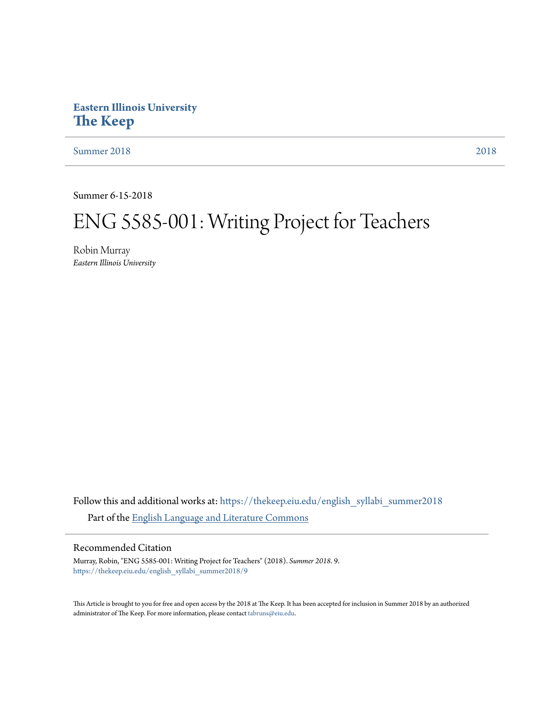### **Eastern Illinois University [The Keep](https://thekeep.eiu.edu?utm_source=thekeep.eiu.edu%2Fenglish_syllabi_summer2018%2F9&utm_medium=PDF&utm_campaign=PDFCoverPages)**

[Summer 2018](https://thekeep.eiu.edu/english_syllabi_summer2018?utm_source=thekeep.eiu.edu%2Fenglish_syllabi_summer2018%2F9&utm_medium=PDF&utm_campaign=PDFCoverPages) [2018](https://thekeep.eiu.edu/english_syllabi2018?utm_source=thekeep.eiu.edu%2Fenglish_syllabi_summer2018%2F9&utm_medium=PDF&utm_campaign=PDFCoverPages)

Summer 6-15-2018

# ENG 5585-001: Writing Project for Teachers

Robin Murray *Eastern Illinois University*

Follow this and additional works at: [https://thekeep.eiu.edu/english\\_syllabi\\_summer2018](https://thekeep.eiu.edu/english_syllabi_summer2018?utm_source=thekeep.eiu.edu%2Fenglish_syllabi_summer2018%2F9&utm_medium=PDF&utm_campaign=PDFCoverPages) Part of the [English Language and Literature Commons](http://network.bepress.com/hgg/discipline/455?utm_source=thekeep.eiu.edu%2Fenglish_syllabi_summer2018%2F9&utm_medium=PDF&utm_campaign=PDFCoverPages)

#### Recommended Citation

Murray, Robin, "ENG 5585-001: Writing Project for Teachers" (2018). *Summer 2018*. 9. [https://thekeep.eiu.edu/english\\_syllabi\\_summer2018/9](https://thekeep.eiu.edu/english_syllabi_summer2018/9?utm_source=thekeep.eiu.edu%2Fenglish_syllabi_summer2018%2F9&utm_medium=PDF&utm_campaign=PDFCoverPages)

This Article is brought to you for free and open access by the 2018 at The Keep. It has been accepted for inclusion in Summer 2018 by an authorized administrator of The Keep. For more information, please contact [tabruns@eiu.edu.](mailto:tabruns@eiu.edu)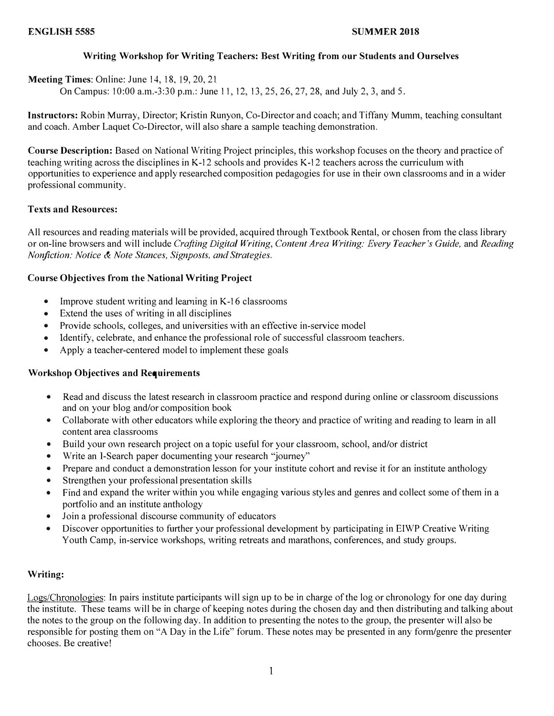#### Writing Workshop for Writing Teachers: Best Writing from onr Stndents and Ourselves

Meeting Times: Online: June 14, 18, 19, 20, 21

On Campus: 10:00 a.m.-3:30 p.m.: June 1 1, 12, 13, 25, 26, 27, 28, and July 2, 3, and 5.

Instructors: Robin Murray, Director; Kristin Runyon, Co-Director and coach; and Tiffany Mumm, teaching consultant and coach. Amber Laquet Co-Director, will also share a sample teaching demonstration.

Course Description: Based on National Writing Project principles, this workshop focuses on the theory and practice of teaching writing across the disciplines in K-12 schools and provides K-12 teachers across the curriculum with opportunities to experience and apply researched composition pedagogies for use in their own classrooms and in a wider professional community.

#### Texts and Resources:

All resources and reading materials will be provided, acquired through Textbook Rental, or chosen from the class library or on-line browsers and will include Crafting Digital Writing, Content Area Writing: Every Teacher's Guide, and Reading Nonfiction: Notice & Note Stances, Signposts, and Strategies.

#### Course Objectives from the National Writing Project

- Improve student writing and learning in K-16 classrooms
- Extend the uses of writing in all disciplines
- Provide schools, colleges, and universities with an effective in-service model
- Identify, celebrate, and enhance the professional role of successful classroom teachers.
- Apply a teacher-centered model to implement these goals

#### Workshop Objectives and Requirements

- Read and discuss the latest research in classroom practice and respond during online or classroom discussions and on your blog and/or composition book
- Collaborate with other educators while exploring the theory and practice of writing and reading to learn in all content area classrooms
- Build your own research project on a topic useful for your classroom, school, and/or district
- Write an I-Search paper documenting your research "journey"
- Prepare and conduct a demonstration lesson for your institute cohort and revise it for an institute anthology
- Strengthen your professional presentation skills
- Find and expand the writer within you while engaging various styles and genres and collect some of them in a portfolio and an institute anthology
- Join a professional discourse community of educators
- Discover opportunities to further your professional development by participating in EIWP Creative Writing Youth Camp, in-service workshops, writing retreats and marathons, conferences, and study groups.

#### Writing:

Logs/Chronologies: In pairs institute participants will sign up to be in charge of the log or chronology for one day during the institute. These teams will be in charge of keeping notes during the chosen day and then distributing and talking about the notes to the group on the following day. In addition to presenting the notes to the group, the presenter will also be responsible for posting them on "A Day in the Life" forum. These notes may be presented in any form/genre the presenter chooses. Be creative!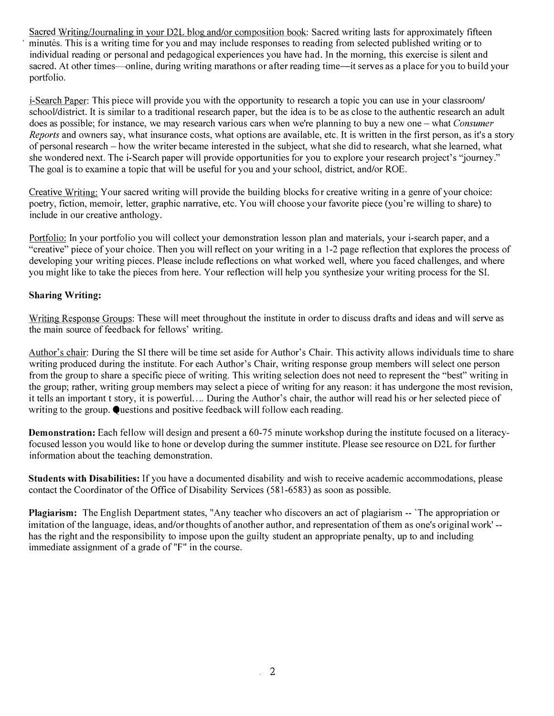Sacred Writing/Journaling in your D2L blog and/or composition book: Sacred writing lasts for approximately fifteen minutes. This is a writing time for you and may include responses to reading from selected published writing or to individual reading or personal and pedagogical experiences you have had. In the morning, this exercise is silent and sacred. At other times—online, during writing marathons or after reading time—it serves as a place for you to build your portfolio.

i-Search Paper: This piece will provide you with the opportunity to research a topic you can use in your classroom/ school/district. It is similar to a traditional research paper, but the idea is to be as close to the authentic research an adult does as possible; for instance, we may research various cars when we're planning to buy a new one - what Consumer Reports and owners say, what insurance costs, what options are available, etc. It is written in the first person, as it's a story of personal research -how the writer became interested in the subject, what she did to research, what she learned, what she wondered next. The i-Search paper will provide opportunities for you to explore your research project's "journey." The goal is to examine a topic that will be useful for you and your school, district, and/or ROE.

Creative Writing: Your sacred writing will provide the building blocks for creative writing in a genre of your choice: poetry, fiction, memoir, Jetter, graphic narrative, etc. You will choose your favorite piece (you're willing to share) to include in our creative anthology.

Portfolio: In your portfolio you will collect your demonstration lesson plan and materials, your i-search paper, and a "creative" piece of your choice. Then you will reflect on your writing in a 1-2 page reflection that explores the process of developing your writing pieces. Please include reflections on what worked well, where you faced challenges, and where you might like to take the pieces from here. Your reflection will help you synthesize your writing process for the SL

#### Sharing Writing:

Writing Response Groups: These will meet throughout the institute in order to discuss drafts and ideas and will serve as the main source of feedback for fellows' writing.

Author's chair: During the SI there will be time set aside for Author's Chair. This activity allows individuals time to share writing produced during the institute. For each Author's Chair, writing response group members will select one person from the group to share a specific piece of writing. This writing selection does not need to represent the "best" writing in the group; rather, writing group members may select a piece of writing for any reason: it has undergone the most revision, it tells an important t story, it is powerful.. .. During the Author's chair, the author will read his or her selected piece of writing to the group.  $\bullet$  uestions and positive feedback will follow each reading.

Demonstration: Each fellow will design and present a 60-75 minute workshop during the institute focused on a literacyfocused lesson you would like to hone or develop during the summer institute. Please see resource on D2L for further information about the teaching demonstration.

Students with Disabilities: If you have a documented disability and wish to receive academic accommodations, please contact the Coordinator of the Office of Disability Services (58 1-6583) as soon as possible.

Plagiarism: The English Department states, "Any teacher who discovers an act of plagiarism -- 'The appropriation or imitation of the language, ideas, and/or thoughts of another author, and representation of them as one's original work' has the right and the responsibility to impose upon the guilty student an appropriate penalty, up to and including immediate assignment of a grade of "F" in the course.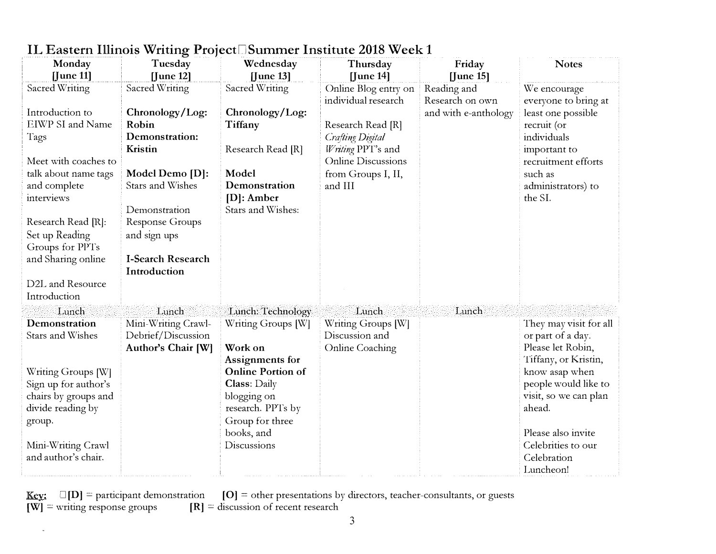| Monday                                | Tuesday                          | Wednesday                | Thursday                  | Friday               | <b>Notes</b>           |
|---------------------------------------|----------------------------------|--------------------------|---------------------------|----------------------|------------------------|
| $[$ June 11]                          | $[$ June 12]                     | $[$ June 13]             | $[$ June 14 $]$           | $[$ June 15]         |                        |
| Sacred Writing                        | Sacred Writing                   | Sacred Writing           | Online Blog entry on      | Reading and          | We encourage           |
|                                       |                                  |                          | individual research       | Research on own      | everyone to bring at   |
| Introduction to                       | Chronology/Log:                  | Chronology/Log:          |                           | and with e-anthology | least one possible     |
| EIWP SI and Name                      | Robin                            | Tiffany                  | Research Read [R]         |                      | recruit (or            |
| Tags                                  | Demonstration:                   |                          | <b>Crafting Digital</b>   |                      | individuals            |
|                                       | Kristin                          | Research Read [R]        | Writing PPT's and         |                      | important to           |
| Meet with coaches to                  |                                  |                          | <b>Online Discussions</b> |                      | recruitment efforts    |
| talk about name tags                  | Model Demo [D]:                  | Model                    | from Groups I, II,        |                      | such as                |
| and complete                          | Stars and Wishes                 | Demonstration            | and III                   |                      | administrators) to     |
| interviews                            |                                  | $[D]$ : Amber            |                           |                      | the SI.                |
|                                       | Demonstration<br>Response Groups | Stars and Wishes:        |                           |                      |                        |
| Research Read [R]:                    |                                  |                          |                           |                      |                        |
| Set up Reading                        | and sign ups                     |                          |                           |                      |                        |
| Groups for PPTs<br>and Sharing online | I-Search Research                |                          |                           |                      |                        |
|                                       | Introduction                     |                          |                           |                      |                        |
| D2L and Resource                      |                                  |                          |                           |                      |                        |
| Introduction                          |                                  |                          |                           |                      |                        |
| Lunch                                 | Lunch                            | Lunch: Technology        | Lunch                     | Lunch                |                        |
| Demonstration                         | Mini-Writing Crawl-              | Writing Groups [W]       | Writing Groups [W]        |                      | They may visit for all |
| Stars and Wishes                      | Debrief/Discussion               |                          | Discussion and            |                      | or part of a day.      |
|                                       | Author's Chair [W]               | Work on                  | <b>Online Coaching</b>    |                      | Please let Robin,      |
|                                       |                                  | Assignments for          |                           |                      | Tiffany, or Kristin,   |
| Writing Groups [W]                    |                                  | <b>Online Portion of</b> |                           |                      | know asap when         |
| Sign up for author's                  |                                  | <b>Class: Daily</b>      |                           |                      | people would like to   |
| chairs by groups and                  |                                  | blogging on              |                           |                      | visit, so we can plan  |
| divide reading by                     |                                  | research. PPTs by        |                           |                      | ahead.                 |
| group.                                |                                  | Group for three          |                           |                      |                        |
|                                       |                                  | books, and               |                           |                      | Please also invite     |
| Mini-Writing Crawl                    |                                  | Discussions              |                           |                      | Celebrities to our     |
| and author's chair.                   |                                  |                          |                           |                      | Celebration            |
|                                       |                                  |                          |                           |                      | Luncheon!              |

## IL Eastern Illinois Writing Project<sup>[Summer Institute 2018 Week 1</sup>

<u>Key:</u>  $\Box$ [D] = participant demonstration [O] = other presentations by directors, teacher-consultants, or guests  $[W]$  = writing response groups  $[R]$  = discussion of recent research

 $\alpha$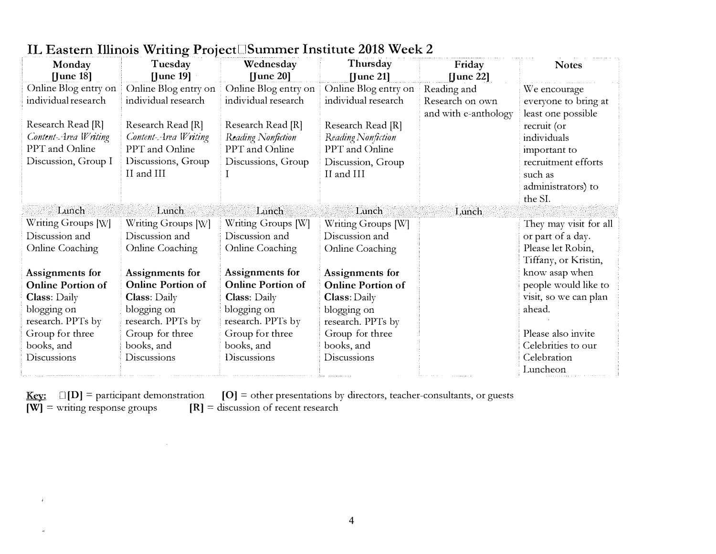| Monday                   | Tuesday                  | Wednesday                | Thursday                 | Friday               | <b>Notes</b>           |
|--------------------------|--------------------------|--------------------------|--------------------------|----------------------|------------------------|
| $[]$ une 18 $]$          | $[$ June 19 $]$          | $[$ June 20 $]$          | $[$ June 21]             | $[$ June 22]         |                        |
| Online Blog entry on     | Online Blog entry on     | Online Blog entry on     | Online Blog entry on     | Reading and          | We encourage           |
| individual research      | individual research      | individual research      | individual research      | Research on own      | everyone to bring at   |
|                          |                          |                          |                          | and with e-anthology | least one possible     |
| Research Read [R]        | Research Read [R]        | Research Read [R]        | Research Read [R]        |                      | recruit (or            |
| Content Area Writing     | Content-Area Writing     | Reading Nonfiction       | Reading Nonfiction       |                      | individuals            |
| PPT and Online           | PPT and Online           | PPT and Online           | PPT and Online           |                      | important to           |
| Discussion, Group I      | Discussions, Group       | Discussions, Group       | Discussion, Group        |                      | recruitment efforts    |
|                          | II and III               |                          | II and III               |                      | such as                |
|                          |                          |                          |                          |                      | administrators) to     |
|                          |                          |                          |                          |                      | the SI.                |
| Lunch                    | Lunch                    | Lunch                    | Lunch                    | Lunch                |                        |
| Writing Groups [W]       | Writing Groups [W]       | Writing Groups [W]       | Writing Groups [W]       |                      | They may visit for all |
| Discussion and           | Discussion and           | Discussion and           | Discussion and           |                      | or part of a day.      |
| Online Coaching          | Online Coaching          | <b>Online Coaching</b>   | <b>Online Coaching</b>   |                      | Please let Robin,      |
|                          |                          |                          |                          |                      | Tiffany, or Kristin,   |
| Assignments for          | Assignments for          | Assignments for          | Assignments for          |                      | know asap when         |
| <b>Online Portion of</b> | <b>Online Portion of</b> | <b>Online Portion of</b> | <b>Online Portion of</b> |                      | people would like to   |
| <b>Class: Daily</b>      | <b>Class:</b> Daily      | <b>Class:</b> Daily      | <b>Class:</b> Daily      |                      | visit, so we can plan  |
| blogging on              | blogging on              | blogging on              | blogging on              |                      | ahead.                 |
| research. PPTs by        | research. PPTs by        | research. PPTs by        | research. PPTs by        |                      |                        |
| Group for three          | Group for three          | Group for three          | Group for three          |                      | Please also invite     |
| books, and               | books, and               | books, and               | books, and               |                      | Celebrities to our     |
| Discussions              | Discussions              | Discussions              | Discussions              |                      | Celebration            |
|                          |                          |                          |                          |                      | Luncheon               |

### IL Eastern Illinois Writing Project Summer Institute 2018 Week 2

<u>Key:</u>  $\Box$ [D] = participant demonstration [O] = other presentations by directors, teacher-consultants, or guests  $[W]$  = writing response groups  $[R]$  = discussion of recent research

 $\bar{z}$ 

 $\bar{c}$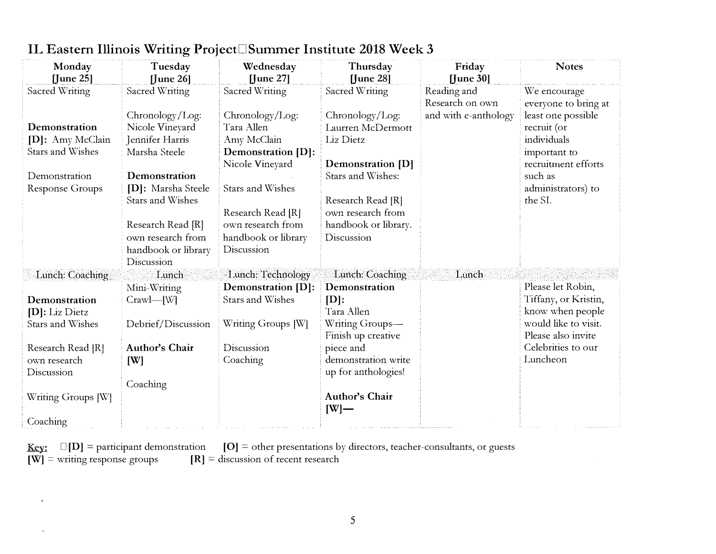| Monday                  | Tuesday             | Wednesday                 | Thursday                 | Friday               | <b>Notes</b>         |
|-------------------------|---------------------|---------------------------|--------------------------|----------------------|----------------------|
| $[$ June 25]            | $[$ June 26 $]$     | $[$ June 27 $]$           | $[$ June 28 $]$          | [June 30]            |                      |
| Sacred Writing          | Sacred Writing      | Sacred Writing            | Sacred Writing           | Reading and          | We encourage         |
|                         |                     |                           |                          | Research on own      | everyone to bring at |
|                         | Chronology/Log:     | Chronology/Log:           | Chronology/Log:          | and with e-anthology | least one possible   |
| Demonstration           | Nicole Vineyard     | Tara Allen                | Laurren McDermott        |                      | recruit (or          |
| [D]: Amy McClain        | Jennifer Harris     | Amy McClain               | Liz Dietz                |                      | individuals          |
| <b>Stars and Wishes</b> | Marsha Steele       | <b>Demonstration [D]:</b> |                          |                      | important to         |
|                         |                     | Nicole Vineyard           | <b>Demonstration</b> [D] |                      | recruitment efforts  |
| Demonstration           | Demonstration       |                           | Stars and Wishes:        |                      | such as              |
| Response Groups         | [D]: Marsha Steele  | Stars and Wishes          |                          |                      | administrators) to   |
|                         | Stars and Wishes    |                           | Research Read [R]        |                      | the SI.              |
|                         |                     | Research Read [R]         | own research from        |                      |                      |
|                         | Research Read [R]   | own research from         | handbook or library.     |                      |                      |
|                         | own research from   | handbook or library       | Discussion               |                      |                      |
|                         | handbook or library | Discussion                |                          |                      |                      |
|                         | Discussion          |                           |                          |                      |                      |
| Lunch: Coaching         | Lunch               | Lunch: Technology         | Lunch: Coaching          | Lunch                |                      |
|                         | Mini-Writing        | Demonstration [D]:        | Demonstration            |                      | Please let Robin,    |
| Demonstration           | $Crawl$ $-Wl$       | Stars and Wishes          | $[D]$ :                  |                      | Tiffany, or Kristin, |
| [D]: Liz Dietz          |                     |                           | Tara Allen               |                      | know when people     |
| Stars and Wishes        | Debrief/Discussion  | Writing Groups [W]        | Writing Groups-          |                      | would like to visit. |
|                         |                     |                           | Finish up creative       |                      | Please also invite   |
| Research Read [R]       | Author's Chair      | Discussion                | piece and                |                      | Celebrities to our   |
| own research            | [W]                 | Coaching                  | demonstration write      |                      | Luncheon             |
| Discussion              |                     |                           | up for anthologies!      |                      |                      |
|                         | Coaching            |                           |                          |                      |                      |
| Writing Groups [W]      |                     |                           | Author's Chair           |                      |                      |
|                         |                     |                           | $[W]$ —                  |                      |                      |
| Coaching                |                     |                           |                          |                      |                      |

## IL Eastern Illinois Writing Project□Summer Institute 2018 Week 3

 $[W]$  = writing response groups  $[R]$  = discussion of recent research

 $\frac{3}{2}$ 

<u>Key:</u>  $\Box$ [D] = participant demonstration [O] = other presentations by directors, teacher-consultants, or guests